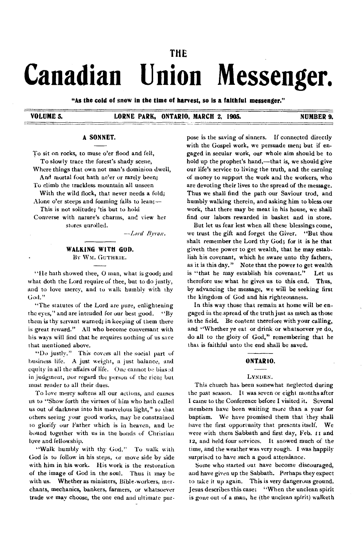# **THE Canadian Union Messenger.**

**"As the cold of snow in the time of harvest, so is a faithful messenger."** 

**VOLUME 5. LORNE PARK, ONTARIO, MARCH 2, 1905. NUMBER 9.** 

## **A SONNET.**

To sit on rocks, to muse o'er flood and fell, To slowly trace the forest's shady scene,

Where things that own not man's dominion dwell, And mortal foot hath ne'er or rarely been;

To climb the trackless mountain all unseen

With the wild flock, that never needs a fold; Alone o'er steeps and foaming falls to lean; $-$ 

This is not solitude; 'tis but to hold Converse with nature's charms, and view her stores unrolled.

*—Lord Bryan.* 

# **WALKING WITH GOD.**  By WM. GUTHRIE.

"He hath showed thee, 0 man, what is good; and what doth the Lord require of thee, but to do justly, and to love mercy, and to walk humbly with thy God."

"The statutes of the Lord are pure, enlightening the eyes," and are intended for our best good. "By them is thy servant warned; in keeping of them there is great reward." All who become conversant with his ways will find that he requires nothing *of* us save that mentioned above.

"Do justly." This covers all the social part of business life. A just weight, a just balance, and equity in all the affairs of life. One cannot be bias id in judgment, nor regard the person of the rich; but must render to all their dues.

To love mercy softens all our actions, and causes us to "Show forth the virtues of him who hath called us out of darkness into his marvelous light," so that others seeing your good works, may be constrained to glorify our Father which is in heaven, and be hound together with us in the bonds of Christian love and fellowship.

"Walk humbly with thy God." To walk with God is to follow in his steps, or move side by side with him in his work. His work is the restoration of the image of God in the soul. Thus it may be with us. Whether as ministers, Bible-workers, merchants, mechanics, bankers, farmers, or whatsoever trade we may choose, the one end and ultimate pur-

pose is the saving of sinners. If connected directly with the Gospel work, we persuade men; but if engaged in secular work, our whole aim should be to hold up the prophet's hand,—that is, we should give our life's service to living the truth, and the earning of money to support the work and the workers, who are devoting their lives to the spread of the message. Thus we shall find the path our Saviour trod, and humbly walking therein, and asking him to bless our work, that there may be meat in his house, we shall find our labors rewarded in basket and in store.

But let us fear lest when all these blessings come, we trust the gift and forget the Giver. "But thou shalt remember the Lord thy God; for it is he that giveth thee power to get wealth, that he may establish his covenant, which he sware unto thy fathers, as it is this day." Note that the power to get wealth is "that he may establish his covenant." Let us therefore use what he gives us to this end. Thus, by advancing the message, we will be seeking first the kingdom of God and his righteousness.

In this way those that remain at home will be engaged in the spread of the truth just as much as those in the field. Be content therefore with your calling, and "Whether ye eat or drink or whatsoever ye do, do all to the glory of God," remembering that he that is faithful unto the end shall be saved.

## **ONTAR 10.**

#### LYNDEN.

This church has been somewhat neglected during the past season. It was seven or eight months after I came to the Conference before I visited it. Several members have been waiting more than a year for baptism. We have promised them that they shall have the first opportunity that presents itself. We were with them Sabbath and first day, Feb. 11 and **12,** and held four services. It snowed much of the time, and the weather was very rough. I was happily surprised to have such a good attendance.

Some who started out have become discouraged, and have given up the Sabbath. Perhaps they expect to take it up again. This is very dangerous ground. Jesus describes this case: "When the unclean spirit is gone out of a man, he (the unclean spirit) walketh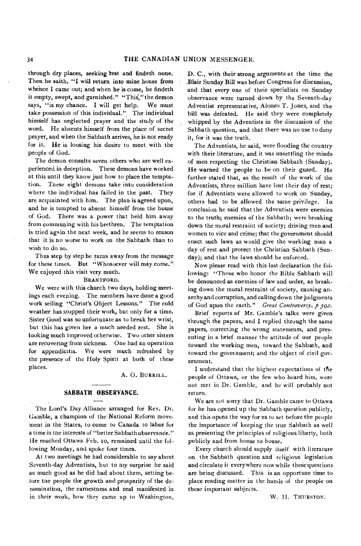through dry places, seeking rest and findeth none. Then he saith, "I will return into mine house from whence I came out; and when he is come, he findeth it empty, swept, and garnished." "This," the demon says, "is my chance. I will get help. We must take possession of this individual." The individual himself has neglected prayer and the study of the word. He absents himself from the place of secret prayer, and when the Sabbath arrives, he is not ready for it. He is loosing his desire to meet with the people of God.

The demon consults seven others who are well experienced in deception. These demons have worked at this until they know just how to place the temptation. These eight demons take into consideration where the individual has failed in the past. They are acquainted with him. The plan is agreed upon, and he is tempted to absent himself from the house of God. There was a power that held him away from communing with his brethren. The temptation is tried again the next week, and he seems to reason that it is no worse to work on the Sabbath than to wish to do so.

Thus step by step he turns away from the message for these times. But "Whosoever will may come." We enjoyed this visit very much.

#### BRANTFORD.

We were with this church two days, holding meetings each evening. The members have done a good work selling "Christ's Object Lessons." The cold weather has stopped their work, but only for a time. Sister Good was so unfortunate as to break her wrist, but this has given her a much needed rest. She is looking much improved otherwise. Two other sisters are recovering from sickness. One had an operation for appendicitis. We were much refreshed by the presence of the Holy Spirit at both of these places.

A. 0. BURRILL.

## **SABBATH OBSERVANCE.**

The Lord's Day Alliance arranged for Rev. Dr. Gamble, a champion of the'National Reform movement in the States, to come to Canada to labor for a time in the interests of "better Sabbath observance." He reached Ottawa. Feb. to, remained until the following Monday, and spoke four times.

At two meetings he had considerable to say about Seventh-day Adventists, but to my surprise he said as much good as he did bad about them, setting belore the people the growth and prosperity of the denomination, the earnestness and zeal manifested in in their work, how they came up to Washington,

D. C., with their strong arguments at the time the .Blair Sunday Bill was before Congress for discussion, and that every one of their specialists on Sunday observance were turned down by the Seventh-day Adventist representative, Alonzo T. Jones, and the bill was defeated. He said they were completely whipped by the Adventists in the discussion of the Sabbath question, and that there was no use to deny it, for it was the truth.

The Adventists, he said, were flooding the country with their literature, and it was unsettling the minds of men respecting the Christian Sabbath (Sunday). He warned the people to be on their guard. He further stated that, as the result of the work of the Adventists, three million have lost their day of rest; for if Adventists were allowed to work on Sunday, others had to be allowed the same privilege. In conclusion he said that the Adventists were enemies to the truth; enemies of the Sabbath; were breaking down the moral restraint of society; driving men and women to vice and crime; that the government should enact such laws as would give the working man a day of rest and protect the Christian Sabbath (Sunday); and that the laws should be enforced.

Now please read with this last declaration the following: "Those who honor the Bible Sabbath will be denounced as enemies of law and order, as breaking down the moral restraint of society, causing anarchy and corruption, and calling down the judgments of God upon the earth." *Great Controversy, p 592.* 

Brief reports of Mr. Gamble's talks were given through the papers, and I replied through the same papers, correcting the wrong statements, and presenting in a brief manner the attitude of our people toward the working men, toward the Sabbath, and toward the government; and the object of civil government.

I understand that the highest expectations of the people of Ottawa, or the few who heard him, were not met in Dr. Gamble, and he will probably not return.

We are not sorry that Dr. Gamble came to Ottawa for he has opened up the Sabbath question publicly, and this opens the way for us to set before the people the importance of keeping the true Sabbath as well as presenting the principles of religious liberty, both publicly and from house to house.

Every church should supply itself with literature on the Sabbath question and religious legislation and circulate it everywhere now while these questions are being discussed. This is an opportune time to place reading matter in the hands of the people on these important subjects.

W. H. THURSTON.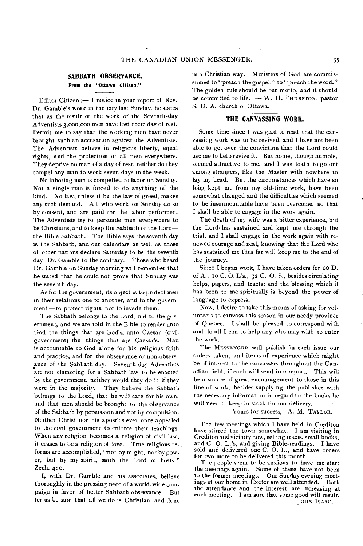#### **SABBATH OBSERVANCE.**

## **From the "Ottawa Citizen."**

Editor Citizen :  $\frac{1}{1}$  notice in your report of Rev. Dr. Gamble's work in the city last Sunday, he states that as the result of the work of the Seventh-day Adventists 3,000,000 men have lost their day of rest. Permit me to say that the working men have never brought such an accusation against the Adventists. The Adventists believe in religious liberty, equal rights, and the protection of all men everywhere. They deprive no man of a day of rest, neither do they compel any man to work seven days in the week.

No laboring man is compelled to labor on Sunday. Not a single man is forced to do anything of the kind. No law, unless it be the law of greed, makes any such demand. All who work on Sunday do so by consent, and are paid for the labor performed. The Adventists try to persuade men everywhere to be Christians, and to keep the Sabbath of the Lord the Bible Sabbath. The Bible says the seventh day is the Sabbath, and our calendars as well as those of other nations declare Saturday to be the seventh day; Dr. Gamble to the contrary. Those who heard Dr. Gamble on Sunday morning will remember that he stated that he could not prove that Sunday was the seventh day.

As for the government, its object is to protect men in their relations one to another, and to the government —to protect rights, not to invade them.

The Sabbath belongs to the Lord, not to the government, and we are told in the Bible to render unto God the things that are God's, unto Caesar (civil government) the things that are Caesar's. Man is accountable to God alone for his religious faith and practice, and for the observance or non-observance of the Sabbath day. Seventh-day Adventists are not clamoring for a Sabbath law to be enacted by the government, neither would they do it if they They believe the Sabbath belongs to the Lord, that he will care for his own, and that men should be brought to the observance of the Sabbath by persuasion and not by compulsion. Neither Christ nor his apostles ever once appealed to the civil government to enforce their teachings. When any religion becomes a religion of civil law, it ceases to be a religion of love. True religious re- , forms are accomplished, "not by might, nor by power, but by my spirit, saith the Lord of hosts." Zech. 4: 6.

I, with Dr. Gamble and his associates, believe thoroughly in the pressing need of a world-wide campaign in favor of better Sabbath observance. But let us be sure that all we do is Christian, and done

in a Christian way. Ministers of God are commissioned to "preach the gospel," to "preach the word." The golden rule should be our motto, and it should be committed to life. — W. H. THURSTON, pastor S. D. A. church of Ottawa.

## **THE CANVASSING WORK.**

Some time since I was glad to read that the canvassing work was to be revived, and I have not been able to get over the conviction that the Lord could, use me to help revive it. But home, though humble, seemed attractive to me, and I was loath to go out among strangers, like the Master with nowhere to lay my head. But the circumstances which have so long kept me from my old-time work, have been somewhat changed and the difficulties which seemed to be insurmountable have been overcome, so that I shall be able to engage in the work again.

The death of my wife was a bitter experience, but the Lord- has sustained and kept me through the trial, and I shall engage in the work again with renewed courage and zeal, knowing that the Lord who has sustained me thus far will keep me to the end of the journey.

Since I began work, I have taken orders for to D. of A., to C. 0. L's., 32 C. 0. S., besides circulating helps, papers, and tracts; and the blessing which it has been to me spiritually is beyond the power of language to express.

Now, I desire to take this means of asking for volunteers to canvass this season in our needy province of Quebec. I shall be pleased to correspond with and do all I can to help any who may wish to enter the work.

The MESSENGER will publish in each issue our orders taken, and items of experience which might be of interest to the canvassers throughout the Canadian field, if each will send in a report. This will be a source of great encouragement to those in this line of work, besides supplying the publisher with the necessary information in regard to the hooks he will need to keep in stock for our delivery.

## Yours for success, A. M. TAYLOR.

The few meetings which I have held in Crediton have stirred the town somewhat. I am visiting in Crediton and vicinity now, selling tracts, small books, and C. 0. L.'s, and giving Bible-readings. I have sold and delivered one C. O. L., and have orders for two more to be delivered this month.

The people seem to be anxious to have me start the meetings again. Some of these have not been to the former meetings. Our Sunday evening meetings at our home in Exeter are well attended. Both the attendance and the interest are increasing at each meeting. I am sure that some good will result. JOHN ISAAC.